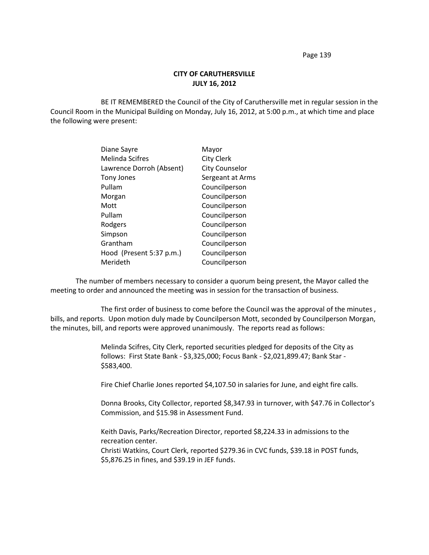Page 139

## **CITY OF CARUTHERSVILLE JULY 16, 2012**

BE IT REMEMBERED the Council of the City of Caruthersville met in regular session in the Council Room in the Municipal Building on Monday, July 16, 2012, at 5:00 p.m., at which time and place the following were present:

| Diane Sayre              | Mayor                 |
|--------------------------|-----------------------|
| Melinda Scifres          | <b>City Clerk</b>     |
| Lawrence Dorroh (Absent) | <b>City Counselor</b> |
| <b>Tony Jones</b>        | Sergeant at Arms      |
| Pullam                   | Councilperson         |
| Morgan                   | Councilperson         |
| Mott                     | Councilperson         |
| Pullam                   | Councilperson         |
| Rodgers                  | Councilperson         |
| Simpson                  | Councilperson         |
| Grantham                 | Councilperson         |
| Hood (Present 5:37 p.m.) | Councilperson         |
| Merideth                 | Councilperson         |
|                          |                       |

The number of members necessary to consider a quorum being present, the Mayor called the meeting to order and announced the meeting was in session for the transaction of business.

The first order of business to come before the Council was the approval of the minutes , bills, and reports. Upon motion duly made by Councilperson Mott, seconded by Councilperson Morgan, the minutes, bill, and reports were approved unanimously. The reports read as follows:

> Melinda Scifres, City Clerk, reported securities pledged for deposits of the City as follows: First State Bank - \$3,325,000; Focus Bank - \$2,021,899.47; Bank Star - \$583,400.

Fire Chief Charlie Jones reported \$4,107.50 in salaries for June, and eight fire calls.

Donna Brooks, City Collector, reported \$8,347.93 in turnover, with \$47.76 in Collector's Commission, and \$15.98 in Assessment Fund.

Keith Davis, Parks/Recreation Director, reported \$8,224.33 in admissions to the recreation center.

Christi Watkins, Court Clerk, reported \$279.36 in CVC funds, \$39.18 in POST funds, \$5,876.25 in fines, and \$39.19 in JEF funds.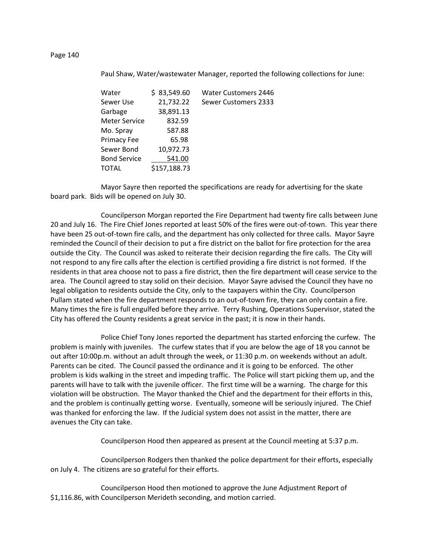Paul Shaw, Water/wastewater Manager, reported the following collections for June:

| Water                | \$83,549.60  | <b>Water Customers 2446</b> |
|----------------------|--------------|-----------------------------|
| Sewer Use            | 21,732.22    | Sewer Customers 2333        |
| Garbage              | 38,891.13    |                             |
| <b>Meter Service</b> | 832.59       |                             |
| Mo. Spray            | 587.88       |                             |
| Primacy Fee          | 65.98        |                             |
| Sewer Bond           | 10,972.73    |                             |
| <b>Bond Service</b>  | 541.00       |                             |
| TOTAL                | \$157,188.73 |                             |
|                      |              |                             |

Mayor Sayre then reported the specifications are ready for advertising for the skate board park. Bids will be opened on July 30.

Councilperson Morgan reported the Fire Department had twenty fire calls between June 20 and July 16. The Fire Chief Jones reported at least 50% of the fires were out-of-town. This year there have been 25 out-of-town fire calls, and the department has only collected for three calls. Mayor Sayre reminded the Council of their decision to put a fire district on the ballot for fire protection for the area outside the City. The Council was asked to reiterate their decision regarding the fire calls. The City will not respond to any fire calls after the election is certified providing a fire district is not formed. If the residents in that area choose not to pass a fire district, then the fire department will cease service to the area. The Council agreed to stay solid on their decision. Mayor Sayre advised the Council they have no legal obligation to residents outside the City, only to the taxpayers within the City. Councilperson Pullam stated when the fire department responds to an out-of-town fire, they can only contain a fire. Many times the fire is full engulfed before they arrive. Terry Rushing, Operations Supervisor, stated the City has offered the County residents a great service in the past; it is now in their hands.

Police Chief Tony Jones reported the department has started enforcing the curfew. The problem is mainly with juveniles. The curfew states that if you are below the age of 18 you cannot be out after 10:00p.m. without an adult through the week, or 11:30 p.m. on weekends without an adult. Parents can be cited. The Council passed the ordinance and it is going to be enforced. The other problem is kids walking in the street and impeding traffic. The Police will start picking them up, and the parents will have to talk with the juvenile officer. The first time will be a warning. The charge for this violation will be obstruction. The Mayor thanked the Chief and the department for their efforts in this, and the problem is continually getting worse. Eventually, someone will be seriously injured. The Chief was thanked for enforcing the law. If the Judicial system does not assist in the matter, there are avenues the City can take.

Councilperson Hood then appeared as present at the Council meeting at 5:37 p.m.

Councilperson Rodgers then thanked the police department for their efforts, especially on July 4. The citizens are so grateful for their efforts.

Councilperson Hood then motioned to approve the June Adjustment Report of \$1,116.86, with Councilperson Merideth seconding, and motion carried.